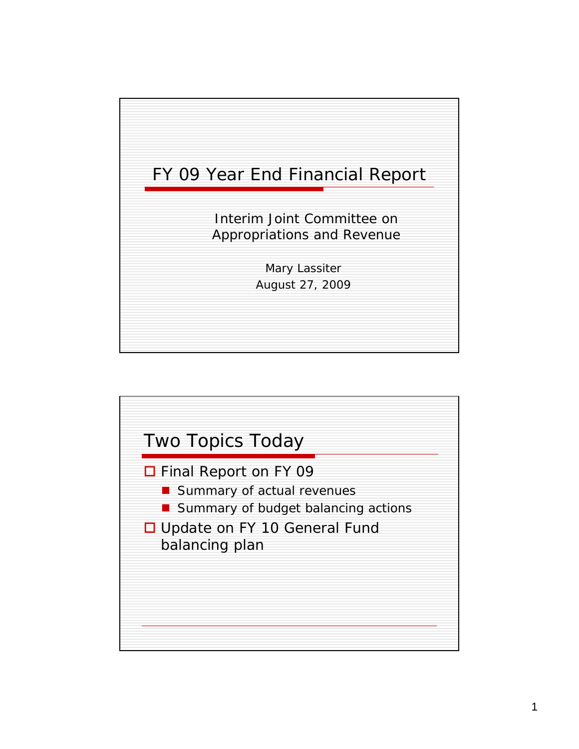

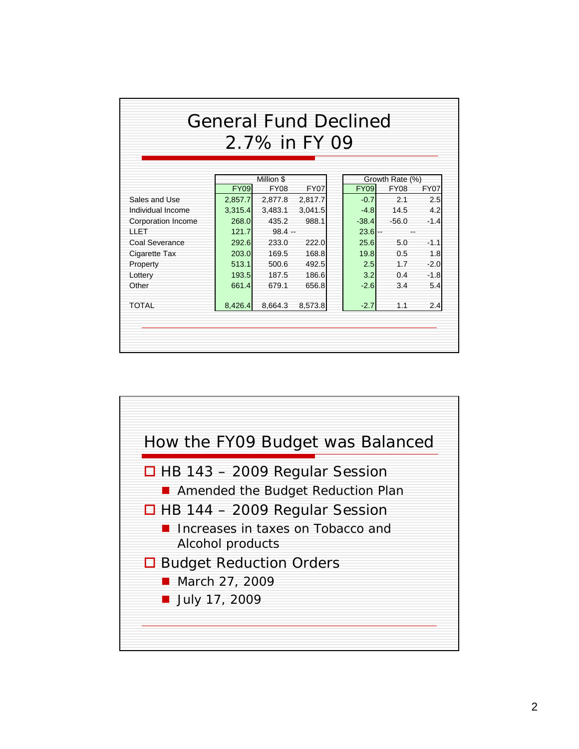|                    | <b>General Fund Declined</b> | 2.7% in FY 09             |             |             |                                |             |
|--------------------|------------------------------|---------------------------|-------------|-------------|--------------------------------|-------------|
|                    |                              |                           |             |             |                                |             |
|                    | <b>FY09</b>                  | Million \$<br><b>FY08</b> | <b>FY07</b> | <b>FY09</b> | Growth Rate (%)<br><b>FY08</b> | <b>FY07</b> |
| Sales and Use      | 2,857.7                      | 2,877.8                   | 2,817.7     | $-0.7$      | 2.1                            | 2.5         |
| Individual Income  | 3,315.4                      | 3,483.1                   | 3,041.5     | $-4.8$      | 14.5                           | 4.2         |
| Corporation Income | 268.0                        | 435.2                     | 988.1       | $-38.4$     | $-56.0$                        | $-1.4$      |
| <b>HET</b>         | 121.7                        | $98.4 -$                  |             | $23.6$ --   | $-1$                           |             |
| Coal Severance     | 292.6                        | 233.0                     | 222.0       | 25.6        | 5.0                            | $-1.1$      |
| Cigarette Tax      | 203.0                        | 169.5                     | 168.8       | 19.8        | 0.5                            | 1.8         |
| Property           | 513.1                        | 500.6                     | 492.5       | 2.5         | 1.7                            | $-2.0$      |
| Lottery            | 193.5                        | 187.5                     | 186.6       | 3.2         | 0.4                            | $-1.8$      |
| Other              | 661.4                        | 679.1                     | 656.8       | $-2.6$      | 3.4                            | 5.4         |
| <b>TOTAL</b>       | 8,426.4                      | 8,664.3                   | 8,573.8     | $-2.7$      | 1.1                            | 2.4         |

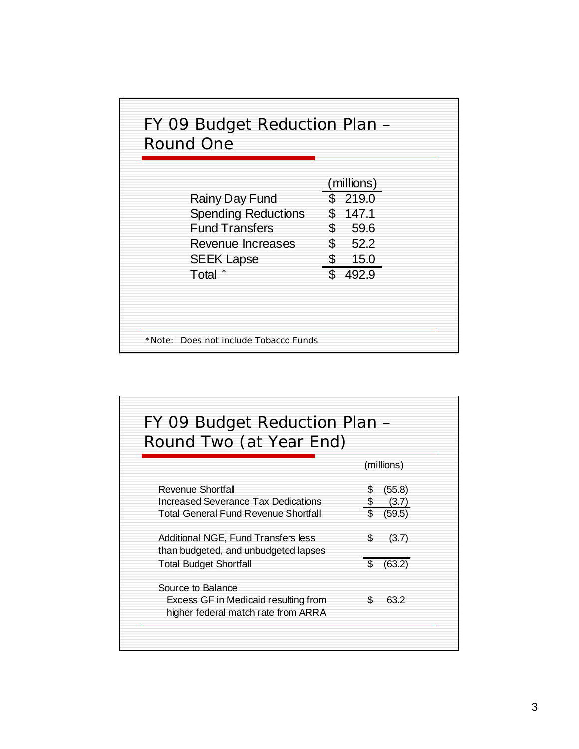| Round One<br>Rainy Day Fund<br><b>Spending Reductions</b><br><b>Fund Transfers</b><br>Revenue Increases<br><b>SEEK Lapse</b><br>Total | (millions)<br>\$219.0<br>\$147.1<br>59.6<br>S.<br>\$52.2<br>\$ 15.0<br>\$492.9 |
|---------------------------------------------------------------------------------------------------------------------------------------|--------------------------------------------------------------------------------|
|---------------------------------------------------------------------------------------------------------------------------------------|--------------------------------------------------------------------------------|

| FY 09 Budget Reduction Plan –<br>Round Two (at Year End)                    |     |                 |
|-----------------------------------------------------------------------------|-----|-----------------|
|                                                                             |     | (millions)      |
| <b>Revenue Shortfall</b>                                                    |     | (55.8)          |
| Increased Severance Tax Dedications<br>Total General Fund Revenue Shortfall | \$. | (3.7)<br>(59.5) |
| Additional NGE, Fund Transfers less                                         | S.  | (3.7)           |
| than budgeted, and unbudgeted lapses                                        |     |                 |
| <b>Total Budget Shortfall</b>                                               |     | (63.2)          |
| Source to Balance                                                           |     |                 |
| Excess GF in Medicaid resulting from<br>higher federal match rate from ARRA | S.  | 63.2            |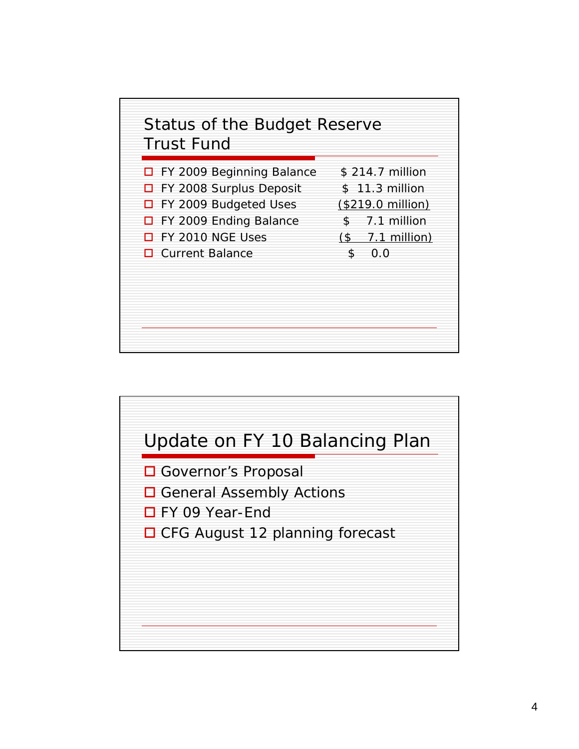

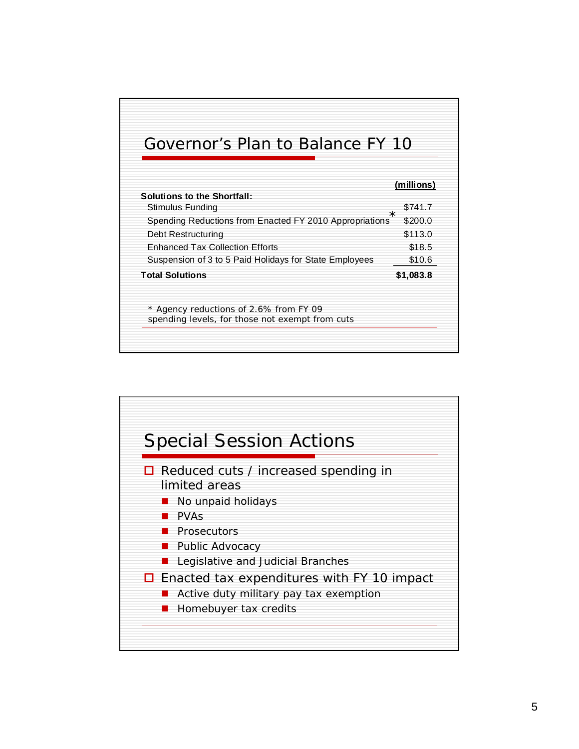## Governor's Plan to Balance FY 10

| Stimulus Funding                                                                          | \$741.7<br>$^\star$ |
|-------------------------------------------------------------------------------------------|---------------------|
| Spending Reductions from Enacted FY 2010 Appropriations                                   | \$200.0             |
| Debt Restructuring                                                                        | \$113.0             |
| <b>Enhanced Tax Collection Efforts</b>                                                    | \$18.5              |
| Suspension of 3 to 5 Paid Holidays for State Employees                                    | \$10.6              |
| <b>Total Solutions</b>                                                                    | \$1,083.8           |
| * Agency reductions of 2.6% from FY 09<br>spending levels, for those not exempt from cuts |                     |

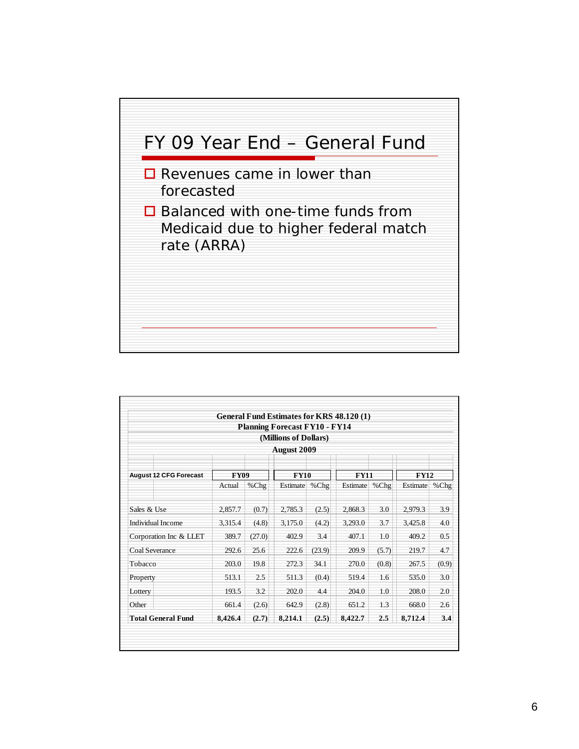

|                               |                                      |         | General Fund Estimates for KRS 48.120 (1) |        |             |       |             |       |  |
|-------------------------------|--------------------------------------|---------|-------------------------------------------|--------|-------------|-------|-------------|-------|--|
|                               | <b>Planning Forecast FY10 - FY14</b> |         |                                           |        |             |       |             |       |  |
|                               | (Millions of Dollars)                |         |                                           |        |             |       |             |       |  |
|                               |                                      |         | <b>August 2009</b>                        |        |             |       |             |       |  |
| <b>August 12 CFG Forecast</b> | <b>FY09</b>                          |         | <b>FY10</b>                               |        | <b>FY11</b> |       | <b>FY12</b> |       |  |
|                               | Actual                               | $%$ Chg | Estimate                                  | %Chg   | Estimate    | %Chg  | Estimate    | %Chg  |  |
| Sales & Use                   | 2,857.7                              | (0.7)   | 2,785.3                                   | (2.5)  | 2,868.3     | 3.0   | 2,979.3     | 3.9   |  |
| <b>Individual Income</b>      | 3,315.4                              | (4.8)   | 3,175.0                                   | (4.2)  | 3,293.0     | 3.7   | 3,425.8     | 4.0   |  |
| Corporation Inc & LLET        | 389.7                                | (27.0)  | 402.9                                     | 3.4    | 407.1       | 1.0   | 409.2       | 0.5   |  |
| <b>Coal Severance</b>         | 292.6                                | 25.6    | 222.6                                     | (23.9) | 209.9       | (5.7) | 219.7       | 4.7   |  |
| Tobacco                       | 203.0                                | 19.8    | 272.3                                     | 34.1   | 270.0       | (0.8) | 267.5       | (0.9) |  |
| Property                      | 513.1                                | 2.5     | 511.3                                     | (0.4)  | 519.4       | 1.6   | 535.0       | 3.0   |  |
| Lottery                       | 193.5                                | 3.2     | 202.0                                     | 4.4    | 204.0       | 1.0   | 208.0       | 2.0   |  |
| Other                         | 661.4                                | (2.6)   | 642.9                                     | (2.8)  | 651.2       | 1.3   | 668.0       | 2.6   |  |
| <b>Total General Fund</b>     | 8,426.4                              | (2.7)   | 8,214.1                                   | (2.5)  | 8,422.7     | 2.5   | 8,712.4     | 3.4   |  |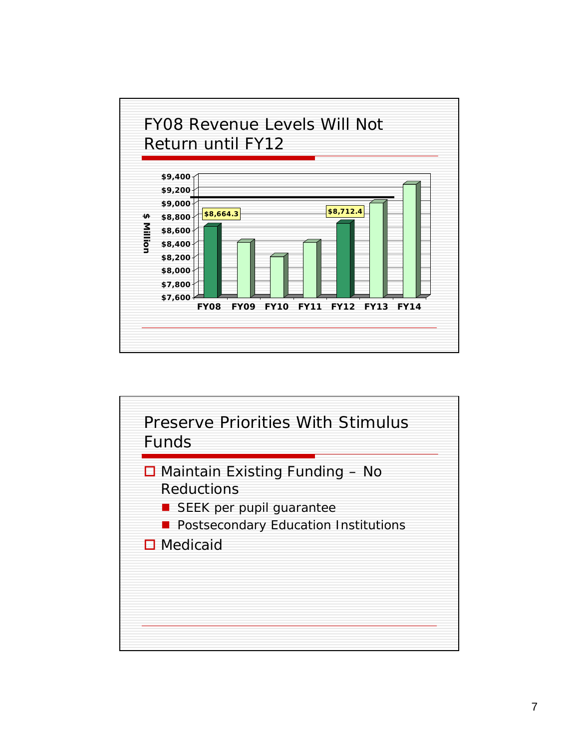

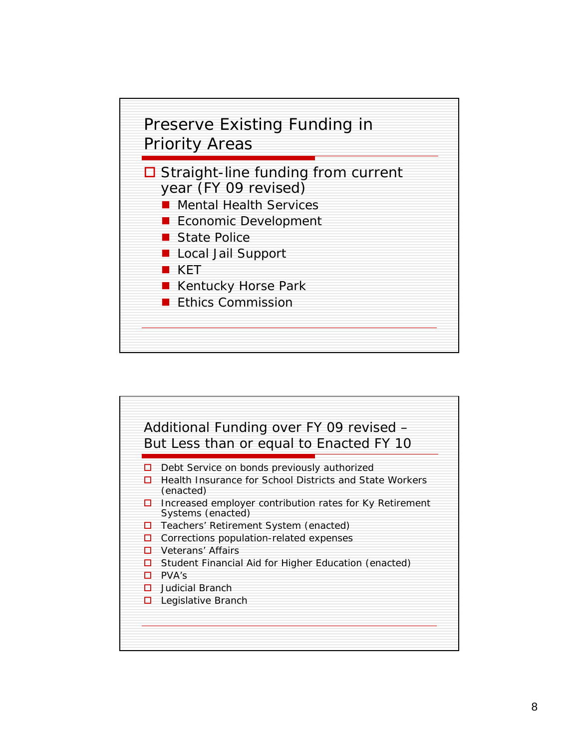

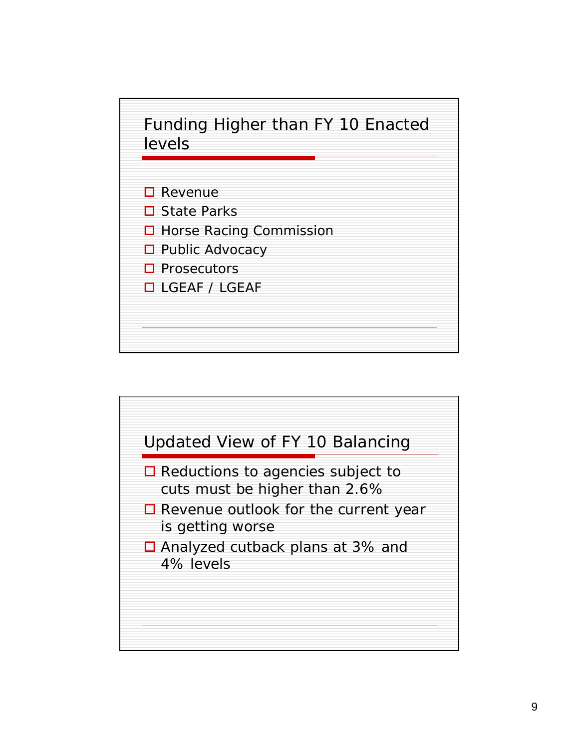

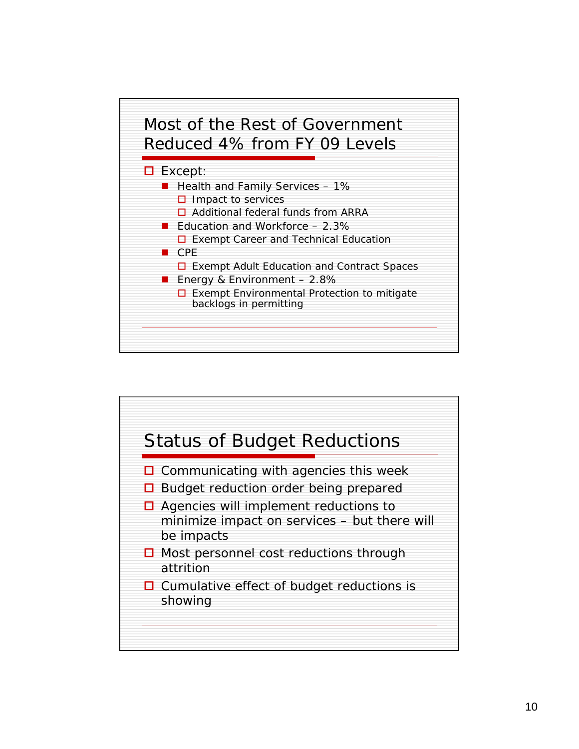

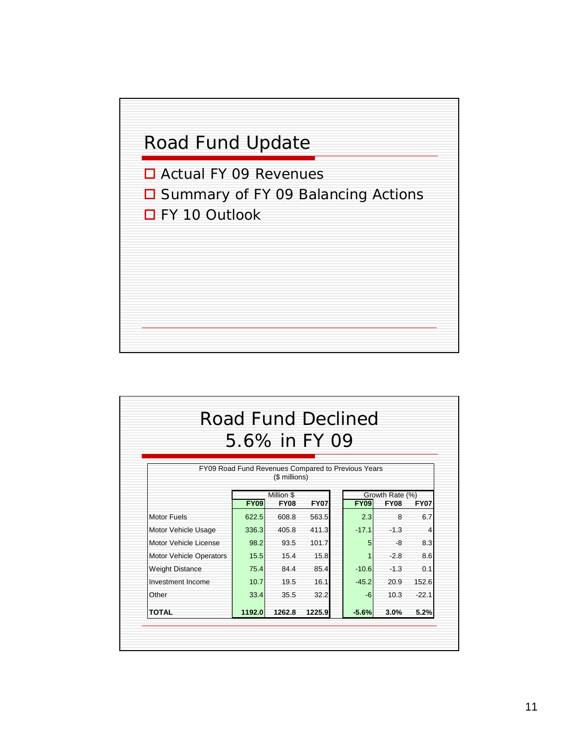

| <b>Road Fund Declined</b><br>5.6% in FY 09 |                                                         |                                                                     |        |  |                                                              |        |         |
|--------------------------------------------|---------------------------------------------------------|---------------------------------------------------------------------|--------|--|--------------------------------------------------------------|--------|---------|
|                                            |                                                         | FY09 Road Fund Revenues Compared to Previous Years<br>(\$ millions) |        |  |                                                              |        |         |
|                                            | Million \$<br><b>FY09</b><br><b>FY08</b><br><b>FY07</b> |                                                                     |        |  | Growth Rate (%)<br><b>FY09</b><br><b>FY08</b><br><b>FY07</b> |        |         |
| <b>Motor Fuels</b>                         | 622.5                                                   | 608.8                                                               | 563.5  |  | 2.3                                                          | 8      | 6.7     |
| Motor Vehicle Usage                        | 336.3                                                   | 405.8                                                               | 411.3  |  | $-17.1$                                                      | $-1.3$ | 4       |
| Motor Vehicle License                      | 98.2                                                    | 93.5                                                                | 101.7  |  | 5                                                            | -8     | 8.3     |
| <b>Motor Vehicle Operators</b>             | 15.5                                                    | 15.4                                                                | 15.8   |  |                                                              | $-2.8$ | 8.6     |
| <b>Weight Distance</b>                     | 75.4                                                    | 84.4                                                                | 85.4   |  | $-10.6$                                                      | $-1.3$ | 0.1     |
| Investment Income                          | 10.7                                                    | 19.5                                                                | 16.1   |  | $-45.2$                                                      | 20.9   | 152.6   |
| Other                                      | 33.4                                                    | 35.5                                                                | 32.2   |  | $-6$                                                         | 10.3   | $-22.1$ |
| <b>TOTAL</b>                               | 1192.0                                                  | 1262.8                                                              | 1225.9 |  | $-5.6%$                                                      | 3.0%   | 5.2%    |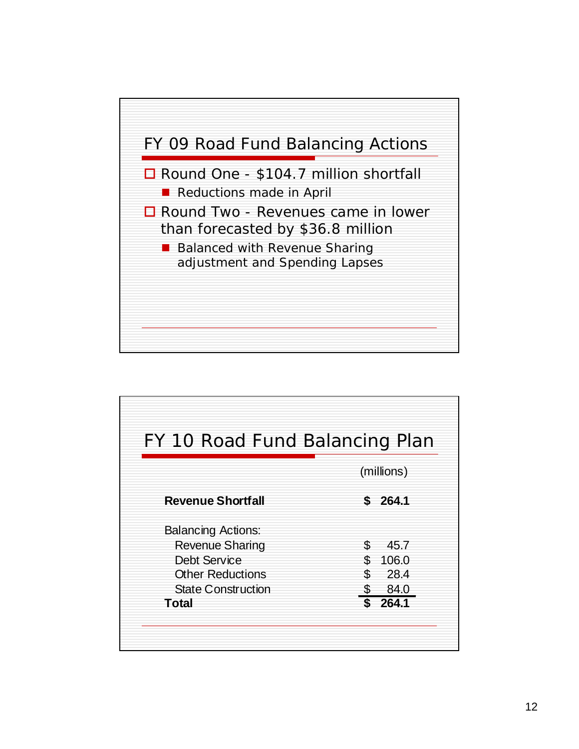

| FY 10 Road Fund Balancing Plan |             |
|--------------------------------|-------------|
|                                | (millions)  |
| <b>Revenue Shortfall</b>       | 264.1<br>S  |
| <b>Balancing Actions:</b>      |             |
| <b>Revenue Sharing</b>         | S.<br>45.7  |
| <b>Debt Service</b>            | ደ.<br>106.0 |
| <b>Other Reductions</b>        | 28.4<br>S   |
| <b>State Construction</b>      | 84.0<br>\$  |
| Total                          | 264.1       |